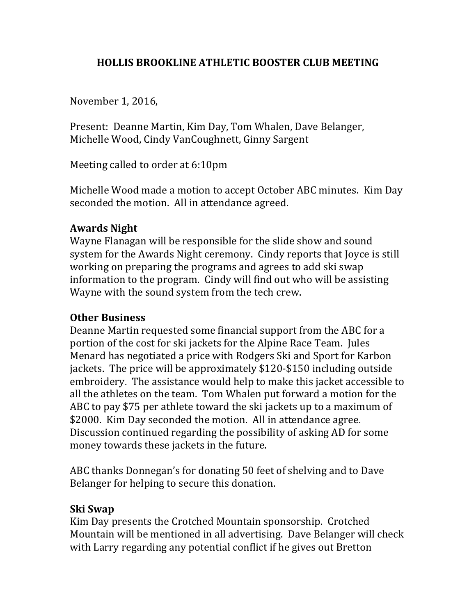## **HOLLIS BROOKLINE ATHLETIC BOOSTER CLUB MEETING**

November 1, 2016,

Present: Deanne Martin, Kim Day, Tom Whalen, Dave Belanger, Michelle Wood, Cindy VanCoughnett, Ginny Sargent

Meeting called to order at  $6:10 \text{pm}$ 

Michelle Wood made a motion to accept October ABC minutes. Kim Day seconded the motion. All in attendance agreed.

## **Awards Night**

Wayne Flanagan will be responsible for the slide show and sound system for the Awards Night ceremony. Cindy reports that Joyce is still working on preparing the programs and agrees to add ski swap information to the program. Cindy will find out who will be assisting Wayne with the sound system from the tech crew.

## **Other Business**

Deanne Martin requested some financial support from the ABC for a portion of the cost for ski jackets for the Alpine Race Team. Jules Menard has negotiated a price with Rodgers Ski and Sport for Karbon jackets. The price will be approximately \$120-\$150 including outside embroidery. The assistance would help to make this jacket accessible to all the athletes on the team. Tom Whalen put forward a motion for the ABC to pay \$75 per athlete toward the ski jackets up to a maximum of \$2000. Kim Day seconded the motion. All in attendance agree. Discussion continued regarding the possibility of asking AD for some money towards these jackets in the future.

ABC thanks Donnegan's for donating 50 feet of shelving and to Dave Belanger for helping to secure this donation.

## **Ski Swap**

Kim Day presents the Crotched Mountain sponsorship. Crotched Mountain will be mentioned in all advertising. Dave Belanger will check with Larry regarding any potential conflict if he gives out Bretton